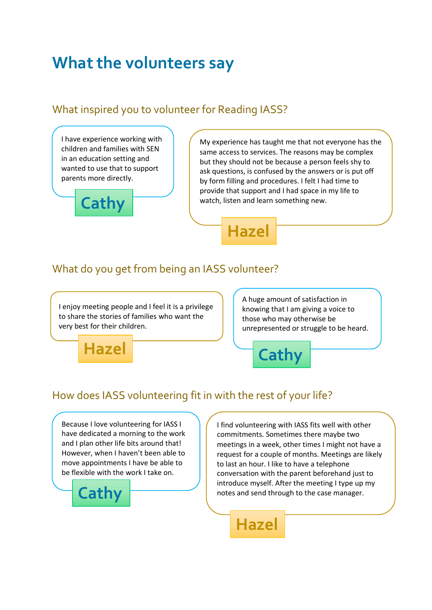# **What the volunteers say**

#### What inspired you to volunteer for Reading IASS?

I have experience working with children and families with SEN in an education setting and wanted to use that to support parents more directly.



My experience has taught me that not everyone has the same access to services. The reasons may be complex but they should not be because a person feels shy to ask questions, is confused by the answers or is put off by form filling and procedures. I felt I had time to provide that support and I had space in my life to watch, listen and learn something new.

**Hazel**

#### What do you get from being an IASS volunteer?

I enjoy meeting people and I feel it is a privilege to share the stories of families who want the very best for their children.

A huge amount of satisfaction in knowing that I am giving a voice to those who may otherwise be unrepresented or struggle to be heard.



**Cathy**

#### How does IASS volunteering fit in with the rest of your life?

Because I love volunteering for IASS I have dedicated a morning to the work and I plan other life bits around that! However, when I haven't been able to move appointments I have be able to be flexible with the work I take on.



I find volunteering with IASS fits well with other commitments. Sometimes there maybe two meetings in a week, other times I might not have a request for a couple of months. Meetings are likely to last an hour. I like to have a telephone conversation with the parent beforehand just to introduce myself. After the meeting I type up my notes and send through to the case manager.

**Hazel**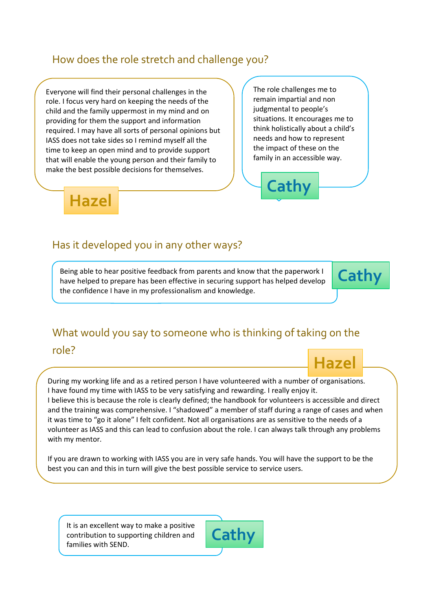#### How does the role stretch and challenge you?

Everyone will find their personal challenges in the role. I focus very hard on keeping the needs of the child and the family uppermost in my mind and on providing for them the support and information required. I may have all sorts of personal opinions but IASS does not take sides so I remind myself all the time to keep an open mind and to provide support that will enable the young person and their family to make the best possible decisions for themselves.

The role challenges me to remain impartial and non judgmental to people's situations. It encourages me to think holistically about a child's needs and how to represent the impact of these on the family in an accessible way.

**Cathy**



#### Has it developed you in any other ways?

Being able to hear positive feedback from parents and know that the paperwork I have helped to prepare has been effective in securing support has helped develop the confidence I have in my professionalism and knowledge.



## What would you say to someone who is thinking of taking on the role?



During my working life and as a retired person I have volunteered with a number of organisations. I have found my time with IASS to be very satisfying and rewarding. I really enjoy it. I believe this is because the role is clearly defined; the handbook for volunteers is accessible and direct and the training was comprehensive. I "shadowed" a member of staff during a range of cases and when it was time to "go it alone" I felt confident. Not all organisations are as sensitive to the needs of a volunteer as IASS and this can lead to confusion about the role. I can always talk through any problems with my mentor.

If you are drawn to working with IASS you are in very safe hands. You will have the support to be the best you can and this in turn will give the best possible service to service users.

It is an excellent way to make a positive contribution to supporting children and families with SEND.